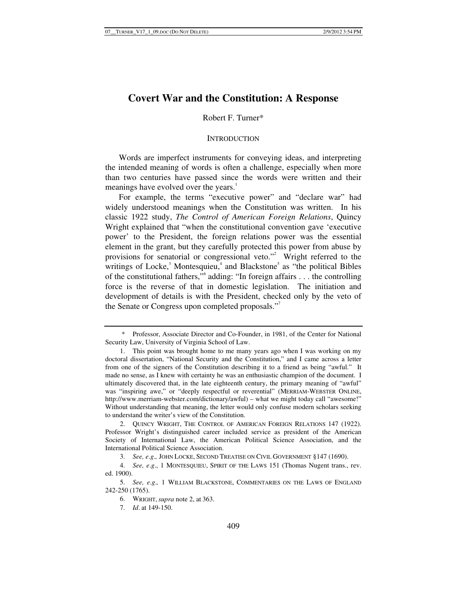# **Covert War and the Constitution: A Response**

# Robert F. Turner\*

#### **INTRODUCTION**

Words are imperfect instruments for conveying ideas, and interpreting the intended meaning of words is often a challenge, especially when more than two centuries have passed since the words were written and their meanings have evolved over the years.<sup>1</sup>

For example, the terms "executive power" and "declare war" had widely understood meanings when the Constitution was written. In his classic 1922 study, *The Control of American Foreign Relations*, Quincy Wright explained that "when the constitutional convention gave 'executive power' to the President, the foreign relations power was the essential element in the grant, but they carefully protected this power from abuse by provisions for senatorial or congressional veto."<sup>2</sup> Wright referred to the writings of Locke,<sup>3</sup> Montesquieu,<sup>4</sup> and Blackstone<sup>5</sup> as "the political Bibles of the constitutional fathers,"<sup>6</sup> adding: "In foreign affairs . . . the controlling force is the reverse of that in domestic legislation. The initiation and development of details is with the President, checked only by the veto of the Senate or Congress upon completed proposals."7

 <sup>\*</sup> Professor, Associate Director and Co-Founder, in 1981, of the Center for National Security Law, University of Virginia School of Law.

 <sup>1.</sup> This point was brought home to me many years ago when I was working on my doctoral dissertation, "National Security and the Constitution," and I came across a letter from one of the signers of the Constitution describing it to a friend as being "awful." It made no sense, as I knew with certainty he was an enthusiastic champion of the document. I ultimately discovered that, in the late eighteenth century, the primary meaning of "awful" was "inspiring awe," or "deeply respectful or reverential" (MERRIAM-WEBSTER ONLINE, http://www.merriam-webster.com/dictionary/awful) – what we might today call "awesome!" Without understanding that meaning, the letter would only confuse modern scholars seeking to understand the writer's view of the Constitution.

 <sup>2.</sup> QUINCY WRIGHT, THE CONTROL OF AMERICAN FOREIGN RELATIONS 147 (1922). Professor Wright's distinguished career included service as president of the American Society of International Law, the American Political Science Association, and the International Political Science Association.

<sup>3.</sup> *See, e*.*g*.*,* JOHN LOCKE, SECOND TREATISE ON CIVIL GOVERNMENT §147 (1690).

<sup>4.</sup> *See, e*.*g*., 1 MONTESQUIEU, SPIRIT OF THE LAWS 151 (Thomas Nugent trans., rev. ed. 1900).

<sup>5.</sup> *See, e*.*g*.*,* 1 WILLIAM BLACKSTONE, COMMENTARIES ON THE LAWS OF ENGLAND 242-250 (1765).

 <sup>6.</sup> WRIGHT,*supra* note 2, at 363.

<sup>7.</sup> *Id*. at 149-150.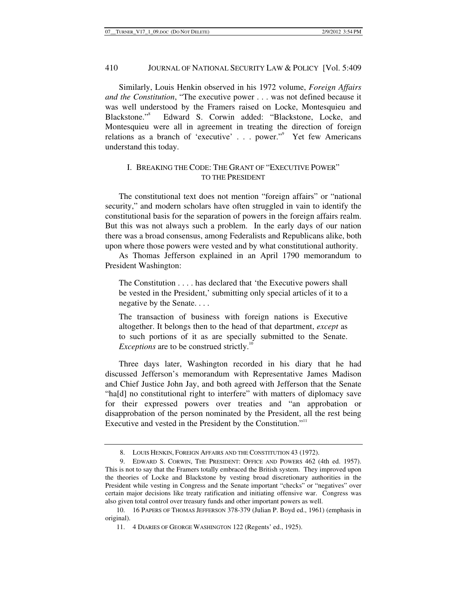Similarly, Louis Henkin observed in his 1972 volume, *Foreign Affairs and the Constitution*, "The executive power . . . was not defined because it was well understood by the Framers raised on Locke, Montesquieu and Blackstone."<sup>8</sup> Edward S. Corwin added: "Blackstone, Locke, and Montesquieu were all in agreement in treating the direction of foreign relations as a branch of 'executive' . . . power."<sup>9</sup> Yet few Americans understand this today.

# I. BREAKING THE CODE: THE GRANT OF "EXECUTIVE POWER" TO THE PRESIDENT

The constitutional text does not mention "foreign affairs" or "national security," and modern scholars have often struggled in vain to identify the constitutional basis for the separation of powers in the foreign affairs realm. But this was not always such a problem. In the early days of our nation there was a broad consensus, among Federalists and Republicans alike, both upon where those powers were vested and by what constitutional authority.

As Thomas Jefferson explained in an April 1790 memorandum to President Washington:

The Constitution . . . . has declared that 'the Executive powers shall be vested in the President,' submitting only special articles of it to a negative by the Senate. . . .

The transaction of business with foreign nations is Executive altogether. It belongs then to the head of that department, *except* as to such portions of it as are specially submitted to the Senate. *Exceptions* are to be construed strictly.<sup>10</sup>

Three days later, Washington recorded in his diary that he had discussed Jefferson's memorandum with Representative James Madison and Chief Justice John Jay, and both agreed with Jefferson that the Senate "ha[d] no constitutional right to interfere" with matters of diplomacy save for their expressed powers over treaties and "an approbation or disapprobation of the person nominated by the President, all the rest being Executive and vested in the President by the Constitution."<sup>11</sup>

 <sup>8.</sup> LOUIS HENKIN, FOREIGN AFFAIRS AND THE CONSTITUTION 43 (1972).

 <sup>9.</sup> EDWARD S. CORWIN, THE PRESIDENT: OFFICE AND POWERS 462 (4th ed. 1957). This is not to say that the Framers totally embraced the British system. They improved upon the theories of Locke and Blackstone by vesting broad discretionary authorities in the President while vesting in Congress and the Senate important "checks" or "negatives" over certain major decisions like treaty ratification and initiating offensive war. Congress was also given total control over treasury funds and other important powers as well.

 <sup>10. 16</sup> PAPERS OF THOMAS JEFFERSON 378-379 (Julian P. Boyd ed., 1961) (emphasis in original).

 <sup>11. 4</sup> DIARIES OF GEORGE WASHINGTON 122 (Regents' ed., 1925).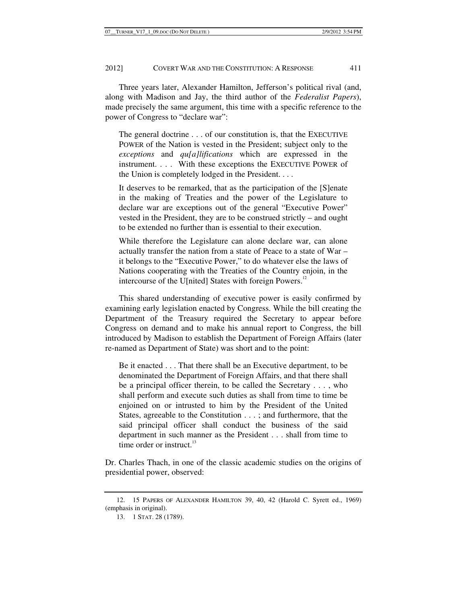Three years later, Alexander Hamilton, Jefferson's political rival (and, along with Madison and Jay, the third author of the *Federalist Papers*), made precisely the same argument, this time with a specific reference to the power of Congress to "declare war":

The general doctrine . . . of our constitution is, that the EXECUTIVE POWER of the Nation is vested in the President; subject only to the *exceptions* and *qu[a]lifications* which are expressed in the instrument. . . . With these exceptions the EXECUTIVE POWER of the Union is completely lodged in the President. . . .

It deserves to be remarked, that as the participation of the [S]enate in the making of Treaties and the power of the Legislature to declare war are exceptions out of the general "Executive Power" vested in the President, they are to be construed strictly – and ought to be extended no further than is essential to their execution.

While therefore the Legislature can alone declare war, can alone actually transfer the nation from a state of Peace to a state of War – it belongs to the "Executive Power," to do whatever else the laws of Nations cooperating with the Treaties of the Country enjoin, in the intercourse of the U[nited] States with foreign Powers.<sup>12</sup>

This shared understanding of executive power is easily confirmed by examining early legislation enacted by Congress. While the bill creating the Department of the Treasury required the Secretary to appear before Congress on demand and to make his annual report to Congress, the bill introduced by Madison to establish the Department of Foreign Affairs (later re-named as Department of State) was short and to the point:

Be it enacted . . . That there shall be an Executive department, to be denominated the Department of Foreign Affairs, and that there shall be a principal officer therein, to be called the Secretary . . . , who shall perform and execute such duties as shall from time to time be enjoined on or intrusted to him by the President of the United States, agreeable to the Constitution . . . ; and furthermore, that the said principal officer shall conduct the business of the said department in such manner as the President . . . shall from time to time order or instruct.<sup>13</sup>

Dr. Charles Thach, in one of the classic academic studies on the origins of presidential power, observed:

 <sup>12. 15</sup> PAPERS OF ALEXANDER HAMILTON 39, 40, 42 (Harold C. Syrett ed., 1969) (emphasis in original).

 <sup>13. 1</sup> STAT. 28 (1789).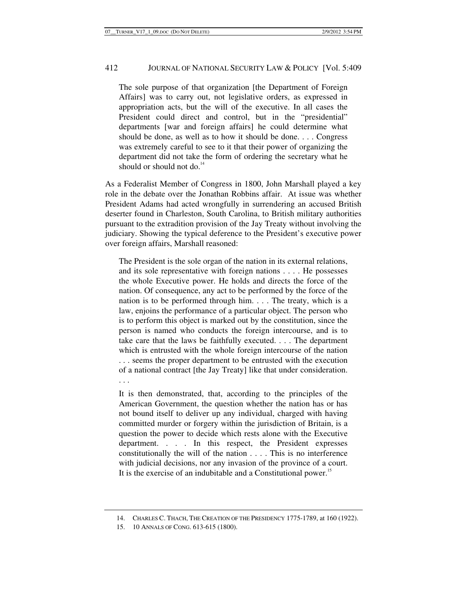The sole purpose of that organization [the Department of Foreign Affairs] was to carry out, not legislative orders, as expressed in appropriation acts, but the will of the executive. In all cases the President could direct and control, but in the "presidential" departments [war and foreign affairs] he could determine what should be done, as well as to how it should be done. . . . Congress was extremely careful to see to it that their power of organizing the department did not take the form of ordering the secretary what he should or should not do.<sup>14</sup>

As a Federalist Member of Congress in 1800, John Marshall played a key role in the debate over the Jonathan Robbins affair. At issue was whether President Adams had acted wrongfully in surrendering an accused British deserter found in Charleston, South Carolina, to British military authorities pursuant to the extradition provision of the Jay Treaty without involving the judiciary. Showing the typical deference to the President's executive power over foreign affairs, Marshall reasoned:

The President is the sole organ of the nation in its external relations, and its sole representative with foreign nations . . . . He possesses the whole Executive power. He holds and directs the force of the nation. Of consequence, any act to be performed by the force of the nation is to be performed through him. . . . The treaty, which is a law, enjoins the performance of a particular object. The person who is to perform this object is marked out by the constitution, since the person is named who conducts the foreign intercourse, and is to take care that the laws be faithfully executed. . . . The department which is entrusted with the whole foreign intercourse of the nation . . . seems the proper department to be entrusted with the execution of a national contract [the Jay Treaty] like that under consideration. . . .

It is then demonstrated, that, according to the principles of the American Government, the question whether the nation has or has not bound itself to deliver up any individual, charged with having committed murder or forgery within the jurisdiction of Britain, is a question the power to decide which rests alone with the Executive department. . . . In this respect, the President expresses constitutionally the will of the nation . . . . This is no interference with judicial decisions, nor any invasion of the province of a court. It is the exercise of an indubitable and a Constitutional power.<sup>15</sup>

 <sup>14.</sup> CHARLES C. THACH, THE CREATION OF THE PRESIDENCY 1775-1789, at 160 (1922).

 <sup>15. 10</sup> ANNALS OF CONG. 613-615 (1800).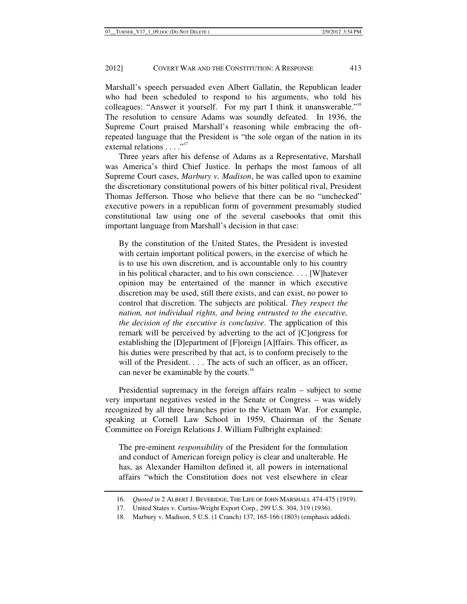Marshall's speech persuaded even Albert Gallatin, the Republican leader who had been scheduled to respond to his arguments, who told his colleagues: "Answer it yourself. For my part I think it unanswerable."<sup>16</sup> The resolution to censure Adams was soundly defeated. In 1936, the Supreme Court praised Marshall's reasoning while embracing the oftrepeated language that the President is "the sole organ of the nation in its external relations . . . ."<sup>17</sup>

Three years after his defense of Adams as a Representative, Marshall was America's third Chief Justice. In perhaps the most famous of all Supreme Court cases, *Marbury v. Madison*, he was called upon to examine the discretionary constitutional powers of his bitter political rival, President Thomas Jefferson. Those who believe that there can be no "unchecked" executive powers in a republican form of government presumably studied constitutional law using one of the several casebooks that omit this important language from Marshall's decision in that case:

By the constitution of the United States, the President is invested with certain important political powers, in the exercise of which he is to use his own discretion, and is accountable only to his country in his political character, and to his own conscience. . . . [W]hatever opinion may be entertained of the manner in which executive discretion may be used, still there exists, and can exist, no power to control that discretion. The subjects are political. *They respect the nation, not individual rights, and being entrusted to the executive, the decision of the executive is conclusive*. The application of this remark will be perceived by adverting to the act of [C]ongress for establishing the [D]epartment of [F]oreign [A]ffairs. This officer, as his duties were prescribed by that act, is to conform precisely to the will of the President. . . . The acts of such an officer, as an officer, can never be examinable by the courts.<sup>18</sup>

Presidential supremacy in the foreign affairs realm – subject to some very important negatives vested in the Senate or Congress – was widely recognized by all three branches prior to the Vietnam War. For example, speaking at Cornell Law School in 1959, Chairman of the Senate Committee on Foreign Relations J. William Fulbright explained:

The pre-eminent *responsibility* of the President for the formulation and conduct of American foreign policy is clear and unalterable. He has, as Alexander Hamilton defined it, all powers in international affairs "which the Constitution does not vest elsewhere in clear

<sup>16.</sup> *Quoted in* 2 ALBERT J. BEVERIDGE, THE LIFE OF JOHN MARSHALL 474-475 (1919).

 <sup>17.</sup> United States v. Curtiss-Wright Export Corp., 299 U.S. 304, 319 (1936).

 <sup>18.</sup> Marbury v. Madison, 5 U.S. (1 Cranch) 137, 165-166 (1803) (emphasis added).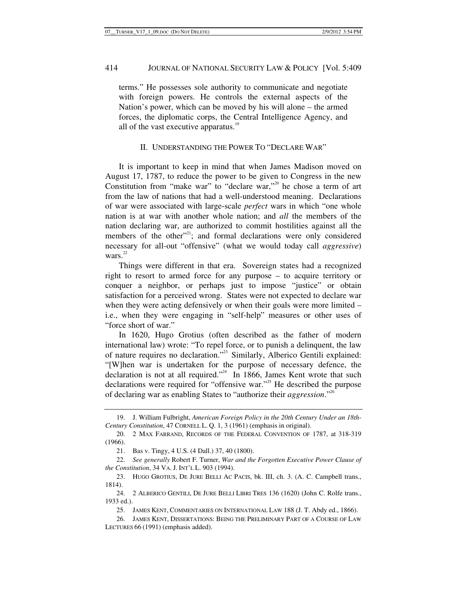terms." He possesses sole authority to communicate and negotiate with foreign powers. He controls the external aspects of the Nation's power, which can be moved by his will alone – the armed forces, the diplomatic corps, the Central Intelligence Agency, and all of the vast executive apparatus.<sup>19</sup>

### II. UNDERSTANDING THE POWER TO "DECLARE WAR"

It is important to keep in mind that when James Madison moved on August 17, 1787, to reduce the power to be given to Congress in the new Constitution from "make war" to "declare war,"<sup>20</sup> he chose a term of art from the law of nations that had a well-understood meaning. Declarations of war were associated with large-scale *perfect* wars in which "one whole nation is at war with another whole nation; and *all* the members of the nation declaring war, are authorized to commit hostilities against all the members of the other"<sup>21</sup>; and formal declarations were only considered necessary for all-out "offensive" (what we would today call *aggressive*) wars. $^{22}$ 

Things were different in that era. Sovereign states had a recognized right to resort to armed force for any purpose – to acquire territory or conquer a neighbor, or perhaps just to impose "justice" or obtain satisfaction for a perceived wrong. States were not expected to declare war when they were acting defensively or when their goals were more limited – i.e., when they were engaging in "self-help" measures or other uses of "force short of war."

In 1620, Hugo Grotius (often described as the father of modern international law) wrote: "To repel force, or to punish a delinquent, the law of nature requires no declaration."23 Similarly, Alberico Gentili explained: "[W]hen war is undertaken for the purpose of necessary defence, the declaration is not at all required."<sup>24</sup> In 1866, James Kent wrote that such declarations were required for "offensive war."<sup>25</sup> He described the purpose of declaring war as enabling States to "authorize their *aggression*."26

 <sup>19.</sup> J. William Fulbright, *American Foreign Policy in the 20th Century Under an 18th-Century Constitution*, 47 CORNELL L. Q. 1, 3 (1961) (emphasis in original).

 <sup>20. 2</sup> MAX FARRAND, RECORDS OF THE FEDERAL CONVENTION OF 1787, at 318-319 (1966).

 <sup>21.</sup> Bas v. Tingy, 4 U.S. (4 Dall.) 37, 40 (1800).

<sup>22.</sup> *See generally* Robert F. Turner, *War and the Forgotten Executive Power Clause of the Constitution*, 34 VA. J. INT'L L. 903 (1994).

 <sup>23.</sup> HUGO GROTIUS, DE JURE BELLI AC PACIS, bk. III, ch. 3. (A. C. Campbell trans., 1814).

 <sup>24. 2</sup> ALBERICO GENTILI, DE JURE BELLI LIBRI TRES 136 (1620) (John C. Rolfe trans., 1933 ed.).

 <sup>25.</sup> JAMES KENT, COMMENTARIES ON INTERNATIONAL LAW 188 (J. T. Abdy ed., 1866).

 <sup>26.</sup> JAMES KENT, DISSERTATIONS: BEING THE PRELIMINARY PART OF A COURSE OF LAW LECTURES 66 (1991) (emphasis added).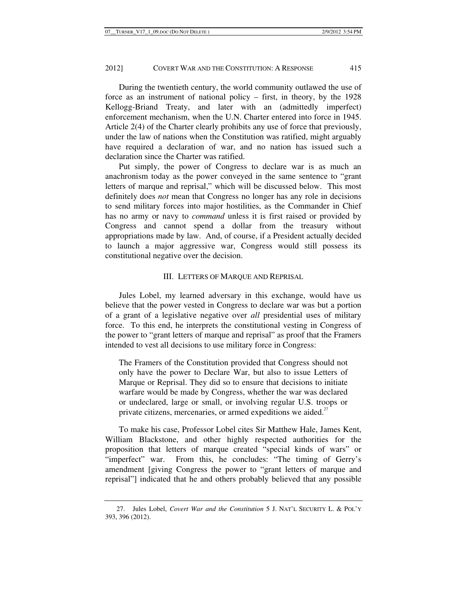During the twentieth century, the world community outlawed the use of force as an instrument of national policy – first, in theory, by the 1928 Kellogg-Briand Treaty, and later with an (admittedly imperfect) enforcement mechanism, when the U.N. Charter entered into force in 1945. Article 2(4) of the Charter clearly prohibits any use of force that previously, under the law of nations when the Constitution was ratified, might arguably have required a declaration of war, and no nation has issued such a declaration since the Charter was ratified.

Put simply, the power of Congress to declare war is as much an anachronism today as the power conveyed in the same sentence to "grant letters of marque and reprisal," which will be discussed below. This most definitely does *not* mean that Congress no longer has any role in decisions to send military forces into major hostilities, as the Commander in Chief has no army or navy to *command* unless it is first raised or provided by Congress and cannot spend a dollar from the treasury without appropriations made by law. And, of course, if a President actually decided to launch a major aggressive war, Congress would still possess its constitutional negative over the decision.

### III. LETTERS OF MARQUE AND REPRISAL

Jules Lobel, my learned adversary in this exchange, would have us believe that the power vested in Congress to declare war was but a portion of a grant of a legislative negative over *all* presidential uses of military force. To this end, he interprets the constitutional vesting in Congress of the power to "grant letters of marque and reprisal" as proof that the Framers intended to vest all decisions to use military force in Congress:

The Framers of the Constitution provided that Congress should not only have the power to Declare War, but also to issue Letters of Marque or Reprisal. They did so to ensure that decisions to initiate warfare would be made by Congress, whether the war was declared or undeclared, large or small, or involving regular U.S. troops or private citizens, mercenaries, or armed expeditions we aided.<sup>27</sup>

To make his case, Professor Lobel cites Sir Matthew Hale, James Kent, William Blackstone, and other highly respected authorities for the proposition that letters of marque created "special kinds of wars" or "imperfect" war. From this, he concludes: "The timing of Gerry's amendment [giving Congress the power to "grant letters of marque and reprisal"] indicated that he and others probably believed that any possible

 <sup>27.</sup> Jules Lobel, *Covert War and the Constitution* 5 J. NAT'L SECURITY L. & POL'Y 393, 396 (2012).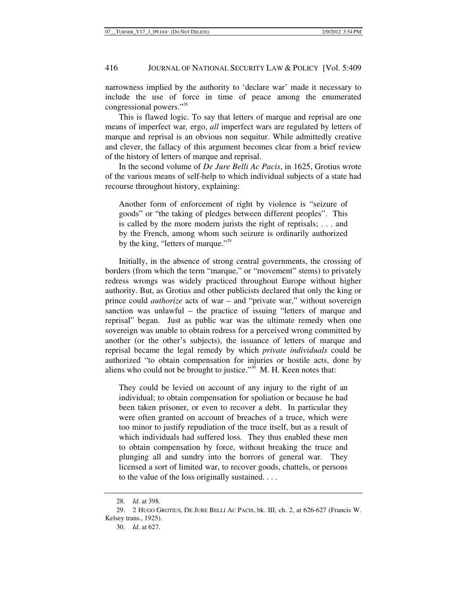narrowness implied by the authority to 'declare war' made it necessary to include the use of force in time of peace among the enumerated congressional powers."28

This is flawed logic. To say that letters of marque and reprisal are one means of imperfect war*,* ergo, *all* imperfect wars are regulated by letters of marque and reprisal is an obvious non sequitur. While admittedly creative and clever, the fallacy of this argument becomes clear from a brief review of the history of letters of marque and reprisal.

In the second volume of *De Jure Belli Ac Pacis*, in 1625, Grotius wrote of the various means of self-help to which individual subjects of a state had recourse throughout history, explaining:

Another form of enforcement of right by violence is "seizure of goods" or "the taking of pledges between different peoples". This is called by the more modern jurists the right of reprisals; . . . and by the French, among whom such seizure is ordinarily authorized by the king, "letters of marque."<sup>29</sup>

Initially, in the absence of strong central governments, the crossing of borders (from which the term "marque," or "movement" stems) to privately redress wrongs was widely practiced throughout Europe without higher authority. But, as Grotius and other publicists declared that only the king or prince could *authorize* acts of war – and "private war," without sovereign sanction was unlawful – the practice of issuing "letters of marque and reprisal" began. Just as public war was the ultimate remedy when one sovereign was unable to obtain redress for a perceived wrong committed by another (or the other's subjects), the issuance of letters of marque and reprisal became the legal remedy by which *private individuals* could be authorized "to obtain compensation for injuries or hostile acts, done by aliens who could not be brought to justice."<sup>30</sup> M. H. Keen notes that:

They could be levied on account of any injury to the right of an individual; to obtain compensation for spoliation or because he had been taken prisoner, or even to recover a debt. In particular they were often granted on account of breaches of a truce, which were too minor to justify repudiation of the truce itself, but as a result of which individuals had suffered loss. They thus enabled these men to obtain compensation by force, without breaking the truce and plunging all and sundry into the horrors of general war. They licensed a sort of limited war, to recover goods, chattels, or persons to the value of the loss originally sustained. . . .

<sup>28.</sup> *Id*. at 398.

 <sup>29. 2</sup> HUGO GROTIUS, DE JURE BELLI AC PACIS, bk. III, ch. 2, at 626-627 (Francis W. Kelsey trans., 1925).

 <sup>30.</sup> *Id*. at 627.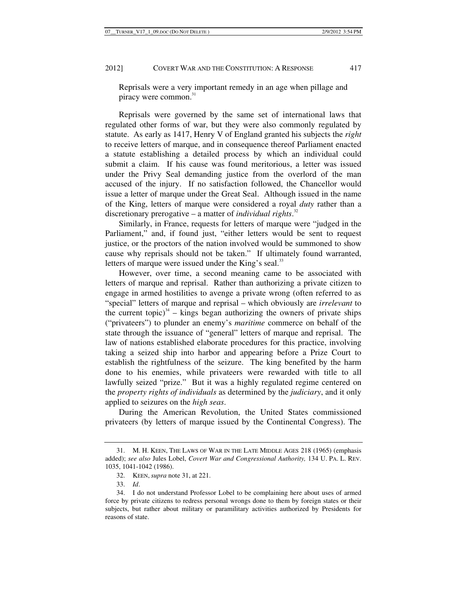Reprisals were a very important remedy in an age when pillage and piracy were common.<sup>31</sup>

Reprisals were governed by the same set of international laws that regulated other forms of war, but they were also commonly regulated by statute. As early as 1417, Henry V of England granted his subjects the *right* to receive letters of marque, and in consequence thereof Parliament enacted a statute establishing a detailed process by which an individual could submit a claim. If his cause was found meritorious, a letter was issued under the Privy Seal demanding justice from the overlord of the man accused of the injury. If no satisfaction followed, the Chancellor would issue a letter of marque under the Great Seal. Although issued in the name of the King, letters of marque were considered a royal *duty* rather than a discretionary prerogative – a matter of *individual rights*. 32

Similarly, in France, requests for letters of marque were "judged in the Parliament," and, if found just, "either letters would be sent to request justice, or the proctors of the nation involved would be summoned to show cause why reprisals should not be taken." If ultimately found warranted, letters of marque were issued under the King's seal.<sup>33</sup>

However, over time, a second meaning came to be associated with letters of marque and reprisal. Rather than authorizing a private citizen to engage in armed hostilities to avenge a private wrong (often referred to as "special" letters of marque and reprisal – which obviously are *irrelevant* to the current topic) $3^4$  – kings began authorizing the owners of private ships ("privateers") to plunder an enemy's *maritime* commerce on behalf of the state through the issuance of "general" letters of marque and reprisal. The law of nations established elaborate procedures for this practice, involving taking a seized ship into harbor and appearing before a Prize Court to establish the rightfulness of the seizure. The king benefited by the harm done to his enemies, while privateers were rewarded with title to all lawfully seized "prize." But it was a highly regulated regime centered on the *property rights of individuals* as determined by the *judiciary*, and it only applied to seizures on the *high seas*.

During the American Revolution, the United States commissioned privateers (by letters of marque issued by the Continental Congress). The

 <sup>31.</sup> M. H. KEEN, THE LAWS OF WAR IN THE LATE MIDDLE AGES 218 (1965) (emphasis added); *see also* Jules Lobel, *Covert War and Congressional Authority,* 134 U. PA. L. REV. 1035, 1041-1042 (1986).

 <sup>32.</sup> KEEN,*supra* note 31, at 221.

<sup>33.</sup> *Id*.

 <sup>34.</sup> I do not understand Professor Lobel to be complaining here about uses of armed force by private citizens to redress personal wrongs done to them by foreign states or their subjects, but rather about military or paramilitary activities authorized by Presidents for reasons of state.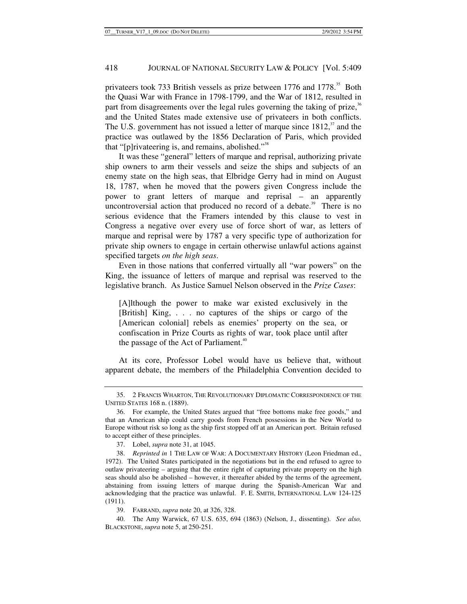privateers took 733 British vessels as prize between 1776 and 1778.<sup>35</sup> Both the Quasi War with France in 1798-1799, and the War of 1812, resulted in part from disagreements over the legal rules governing the taking of prize, $36$ and the United States made extensive use of privateers in both conflicts. The U.S. government has not issued a letter of marque since  $1812$ ,  $\frac{37}{2}$  and the practice was outlawed by the 1856 Declaration of Paris, which provided that "[p]rivateering is, and remains, abolished."<sup>38</sup>

It was these "general" letters of marque and reprisal, authorizing private ship owners to arm their vessels and seize the ships and subjects of an enemy state on the high seas, that Elbridge Gerry had in mind on August 18, 1787, when he moved that the powers given Congress include the power to grant letters of marque and reprisal – an apparently uncontroversial action that produced no record of a debate.<sup>39</sup> There is no serious evidence that the Framers intended by this clause to vest in Congress a negative over every use of force short of war, as letters of marque and reprisal were by 1787 a very specific type of authorization for private ship owners to engage in certain otherwise unlawful actions against specified targets *on the high seas*.

Even in those nations that conferred virtually all "war powers" on the King, the issuance of letters of marque and reprisal was reserved to the legislative branch. As Justice Samuel Nelson observed in the *Prize Cases*:

[A]lthough the power to make war existed exclusively in the [British] King, . . . no captures of the ships or cargo of the [American colonial] rebels as enemies' property on the sea, or confiscation in Prize Courts as rights of war, took place until after the passage of the Act of Parliament.<sup>40</sup>

At its core, Professor Lobel would have us believe that, without apparent debate, the members of the Philadelphia Convention decided to

 <sup>35. 2</sup> FRANCIS WHARTON, THE REVOLUTIONARY DIPLOMATIC CORRESPONDENCE OF THE UNITED STATES 168 n. (1889).

 <sup>36.</sup> For example, the United States argued that "free bottoms make free goods," and that an American ship could carry goods from French possessions in the New World to Europe without risk so long as the ship first stopped off at an American port. Britain refused to accept either of these principles.

 <sup>37.</sup> Lobel, *supra* note 31, at 1045.

<sup>38.</sup> *Reprinted in* 1 THE LAW OF WAR: A DOCUMENTARY HISTORY (Leon Friedman ed., 1972). The United States participated in the negotiations but in the end refused to agree to outlaw privateering – arguing that the entire right of capturing private property on the high seas should also be abolished – however, it thereafter abided by the terms of the agreement, abstaining from issuing letters of marque during the Spanish-American War and acknowledging that the practice was unlawful. F. E. SMITH, INTERNATIONAL LAW 124-125 (1911).

 <sup>39.</sup> FARRAND, *supra* note 20, at 326, 328.

<sup>40.</sup> The Amy Warwick, 67 U.S. 635, 694 (1863) (Nelson, J., dissenting). *See also,* BLACKSTONE,*supra* note 5, at 250-251.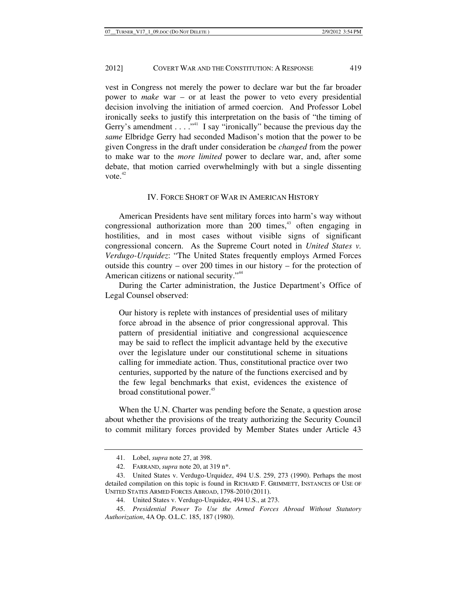vest in Congress not merely the power to declare war but the far broader power to *make* war – or at least the power to veto every presidential decision involving the initiation of armed coercion. And Professor Lobel ironically seeks to justify this interpretation on the basis of "the timing of Gerry's amendment  $\dots$  ."<sup>41</sup> I say "ironically" because the previous day the *same* Elbridge Gerry had seconded Madison's motion that the power to be given Congress in the draft under consideration be *changed* from the power to make war to the *more limited* power to declare war, and, after some debate, that motion carried overwhelmingly with but a single dissenting vote. $42$ 

#### IV. FORCE SHORT OF WAR IN AMERICAN HISTORY

American Presidents have sent military forces into harm's way without congressional authorization more than  $200$  times,<sup>43</sup> often engaging in hostilities, and in most cases without visible signs of significant congressional concern. As the Supreme Court noted in *United States v. Verdugo-Urquidez*: "The United States frequently employs Armed Forces outside this country – over 200 times in our history – for the protection of American citizens or national security."<sup>44</sup>

During the Carter administration, the Justice Department's Office of Legal Counsel observed:

Our history is replete with instances of presidential uses of military force abroad in the absence of prior congressional approval. This pattern of presidential initiative and congressional acquiescence may be said to reflect the implicit advantage held by the executive over the legislature under our constitutional scheme in situations calling for immediate action. Thus, constitutional practice over two centuries, supported by the nature of the functions exercised and by the few legal benchmarks that exist, evidences the existence of broad constitutional power.<sup>45</sup>

When the U.N. Charter was pending before the Senate, a question arose about whether the provisions of the treaty authorizing the Security Council to commit military forces provided by Member States under Article 43

 <sup>41.</sup> Lobel, *supra* note 27, at 398.

 <sup>42.</sup> FARRAND, *supra* note 20, at 319 n\*.

 <sup>43.</sup> United States v. Verdugo-Urquidez, 494 U.S. 259, 273 (1990). Perhaps the most detailed compilation on this topic is found in RICHARD F. GRIMMETT, INSTANCES OF USE OF UNITED STATES ARMED FORCES ABROAD, 1798-2010 (2011).

<sup>44.</sup> United States v. Verdugo-Urquidez, 494 U.S., at 273.

<sup>45.</sup> *Presidential Power To Use the Armed Forces Abroad Without Statutory Authorization*, 4A Op. O.L.C. 185, 187 (1980).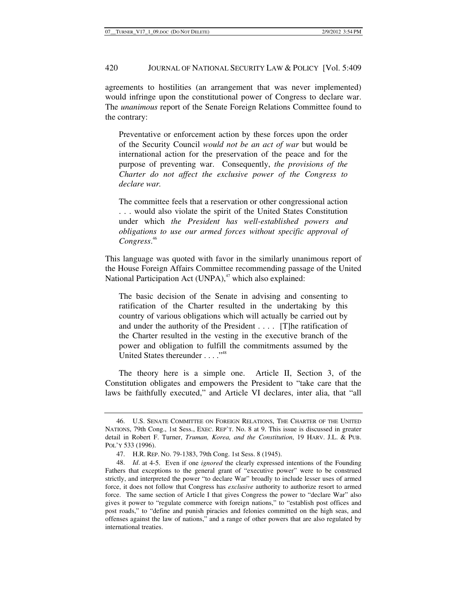agreements to hostilities (an arrangement that was never implemented) would infringe upon the constitutional power of Congress to declare war. The *unanimous* report of the Senate Foreign Relations Committee found to the contrary:

Preventative or enforcement action by these forces upon the order of the Security Council *would not be an act of war* but would be international action for the preservation of the peace and for the purpose of preventing war. Consequently, *the provisions of the Charter do not affect the exclusive power of the Congress to declare war.*

The committee feels that a reservation or other congressional action . . . would also violate the spirit of the United States Constitution under which *the President has well-established powers and obligations to use our armed forces without specific approval of Congress*. 46

This language was quoted with favor in the similarly unanimous report of the House Foreign Affairs Committee recommending passage of the United National Participation Act (UNPA), $47$  which also explained:

The basic decision of the Senate in advising and consenting to ratification of the Charter resulted in the undertaking by this country of various obligations which will actually be carried out by and under the authority of the President . . . . [T]he ratification of the Charter resulted in the vesting in the executive branch of the power and obligation to fulfill the commitments assumed by the United States thereunder . . . . "<sup>48</sup>

The theory here is a simple one. Article II, Section 3, of the Constitution obligates and empowers the President to "take care that the laws be faithfully executed," and Article VI declares, inter alia, that "all

 <sup>46.</sup> U.S. SENATE COMMITTEE ON FOREIGN RELATIONS, THE CHARTER OF THE UNITED NATIONS, 79th Cong., 1st Sess., EXEC. REP'T. No. 8 at 9. This issue is discussed in greater detail in Robert F. Turner, *Truman, Korea, and the Constitution*, 19 HARV. J.L. & PUB. POL'Y 533 (1996).

 <sup>47.</sup> H.R. REP. NO. 79-1383, 79th Cong. 1st Sess. 8 (1945).

<sup>48.</sup> *Id*. at 4-5. Even if one *ignored* the clearly expressed intentions of the Founding Fathers that exceptions to the general grant of "executive power" were to be construed strictly, and interpreted the power "to declare War" broadly to include lesser uses of armed force, it does not follow that Congress has *exclusive* authority to authorize resort to armed force. The same section of Article I that gives Congress the power to "declare War" also gives it power to "regulate commerce with foreign nations," to "establish post offices and post roads," to "define and punish piracies and felonies committed on the high seas, and offenses against the law of nations," and a range of other powers that are also regulated by international treaties.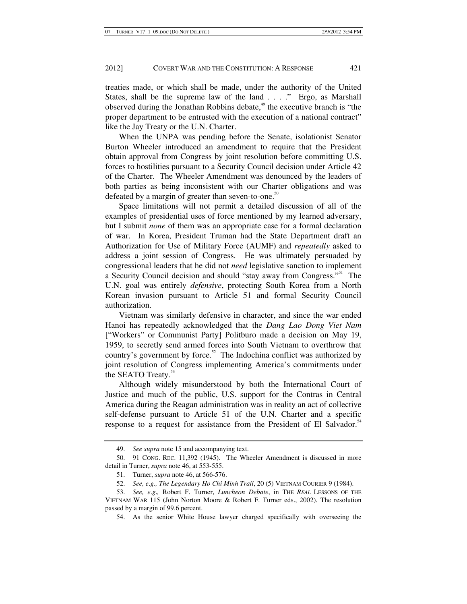treaties made, or which shall be made, under the authority of the United States, shall be the supreme law of the land . . . ." Ergo, as Marshall observed during the Jonathan Robbins debate,<sup>49</sup> the executive branch is "the proper department to be entrusted with the execution of a national contract" like the Jay Treaty or the U.N. Charter.

When the UNPA was pending before the Senate, isolationist Senator Burton Wheeler introduced an amendment to require that the President obtain approval from Congress by joint resolution before committing U.S. forces to hostilities pursuant to a Security Council decision under Article 42 of the Charter. The Wheeler Amendment was denounced by the leaders of both parties as being inconsistent with our Charter obligations and was defeated by a margin of greater than seven-to-one.<sup>50</sup>

Space limitations will not permit a detailed discussion of all of the examples of presidential uses of force mentioned by my learned adversary, but I submit *none* of them was an appropriate case for a formal declaration of war. In Korea, President Truman had the State Department draft an Authorization for Use of Military Force (AUMF) and *repeatedly* asked to address a joint session of Congress. He was ultimately persuaded by congressional leaders that he did not *need* legislative sanction to implement a Security Council decision and should "stay away from Congress."51 The U.N. goal was entirely *defensive*, protecting South Korea from a North Korean invasion pursuant to Article 51 and formal Security Council authorization.

Vietnam was similarly defensive in character, and since the war ended Hanoi has repeatedly acknowledged that the *Dang Lao Dong Viet Nam* ["Workers" or Communist Party] Politburo made a decision on May 19, 1959, to secretly send armed forces into South Vietnam to overthrow that country's government by force.<sup>52</sup> The Indochina conflict was authorized by joint resolution of Congress implementing America's commitments under the SEATO Treaty.<sup>53</sup>

Although widely misunderstood by both the International Court of Justice and much of the public, U.S. support for the Contras in Central America during the Reagan administration was in reality an act of collective self-defense pursuant to Article 51 of the U.N. Charter and a specific response to a request for assistance from the President of El Salvador.<sup>54</sup>

<sup>49.</sup> *See supra* note 15 and accompanying text.

 <sup>50. 91</sup> CONG. REC. 11,392 (1945). The Wheeler Amendment is discussed in more detail in Turner, *supra* note 46, at 553-555.

 <sup>51.</sup> Turner, *supra* note 46, at 566-576.

<sup>52.</sup> *See, e*.*g*.*, The Legendary Ho Chi Minh Trail*, 20 (5) VIETNAM COURIER 9 (1984).

<sup>53.</sup> *See, e*.*g*.*,* Robert F. Turner, *Luncheon Debate*, in THE *REAL* LESSONS OF THE VIETNAM WAR 115 (John Norton Moore & Robert F. Turner eds., 2002). The resolution passed by a margin of 99.6 percent.

 <sup>54.</sup> As the senior White House lawyer charged specifically with overseeing the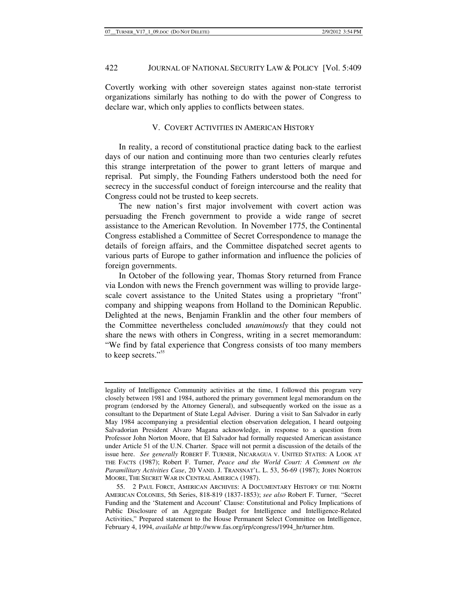Covertly working with other sovereign states against non-state terrorist organizations similarly has nothing to do with the power of Congress to declare war, which only applies to conflicts between states.

### V. COVERT ACTIVITIES IN AMERICAN HISTORY

In reality, a record of constitutional practice dating back to the earliest days of our nation and continuing more than two centuries clearly refutes this strange interpretation of the power to grant letters of marque and reprisal. Put simply, the Founding Fathers understood both the need for secrecy in the successful conduct of foreign intercourse and the reality that Congress could not be trusted to keep secrets.

The new nation's first major involvement with covert action was persuading the French government to provide a wide range of secret assistance to the American Revolution. In November 1775, the Continental Congress established a Committee of Secret Correspondence to manage the details of foreign affairs, and the Committee dispatched secret agents to various parts of Europe to gather information and influence the policies of foreign governments.

In October of the following year, Thomas Story returned from France via London with news the French government was willing to provide largescale covert assistance to the United States using a proprietary "front" company and shipping weapons from Holland to the Dominican Republic. Delighted at the news, Benjamin Franklin and the other four members of the Committee nevertheless concluded *unanimously* that they could not share the news with others in Congress, writing in a secret memorandum: "We find by fatal experience that Congress consists of too many members to keep secrets."<sup>55</sup>

legality of Intelligence Community activities at the time, I followed this program very closely between 1981 and 1984, authored the primary government legal memorandum on the program (endorsed by the Attorney General), and subsequently worked on the issue as a consultant to the Department of State Legal Adviser. During a visit to San Salvador in early May 1984 accompanying a presidential election observation delegation, I heard outgoing Salvadorian President Alvaro Magana acknowledge, in response to a question from Professor John Norton Moore, that El Salvador had formally requested American assistance under Article 51 of the U.N. Charter. Space will not permit a discussion of the details of the issue here. *See generally* ROBERT F. TURNER, NICARAGUA V. UNITED STATES: A LOOK AT THE FACTS (1987); Robert F. Turner, *Peace and the World Court: A Comment on the Paramilitary Activities Case*, 20 VAND. J. TRANSNAT'L. L. 53, 56-69 (1987); JOHN NORTON MOORE, THE SECRET WAR IN CENTRAL AMERICA (1987).

 <sup>55. 2</sup> PAUL FORCE, AMERICAN ARCHIVES: A DOCUMENTARY HISTORY OF THE NORTH AMERICAN COLONIES, 5th Series, 818-819 (1837-1853); *see also* Robert F. Turner, "Secret Funding and the 'Statement and Account' Clause: Constitutional and Policy Implications of Public Disclosure of an Aggregate Budget for Intelligence and Intelligence-Related Activities," Prepared statement to the House Permanent Select Committee on Intelligence, February 4, 1994, *available at* http://www.fas.org/irp/congress/1994\_hr/turner.htm.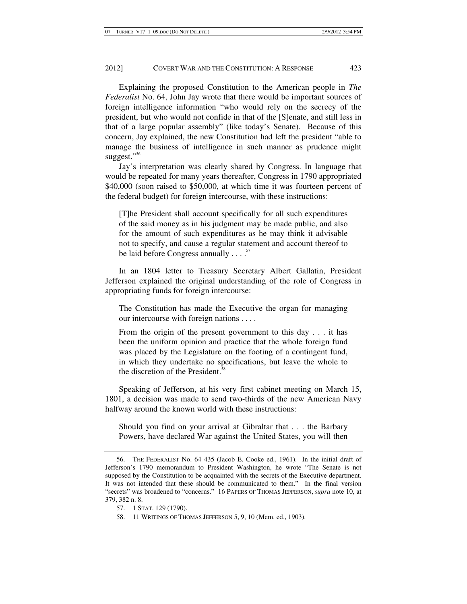Explaining the proposed Constitution to the American people in *The Federalist* No. 64, John Jay wrote that there would be important sources of foreign intelligence information "who would rely on the secrecy of the president, but who would not confide in that of the [S]enate, and still less in that of a large popular assembly" (like today's Senate). Because of this concern, Jay explained, the new Constitution had left the president "able to manage the business of intelligence in such manner as prudence might suggest."<sup>56</sup>

Jay's interpretation was clearly shared by Congress. In language that would be repeated for many years thereafter, Congress in 1790 appropriated \$40,000 (soon raised to \$50,000, at which time it was fourteen percent of the federal budget) for foreign intercourse, with these instructions:

[T]he President shall account specifically for all such expenditures of the said money as in his judgment may be made public, and also for the amount of such expenditures as he may think it advisable not to specify, and cause a regular statement and account thereof to be laid before Congress annually  $\ldots$ .<sup>57</sup>

In an 1804 letter to Treasury Secretary Albert Gallatin, President Jefferson explained the original understanding of the role of Congress in appropriating funds for foreign intercourse:

The Constitution has made the Executive the organ for managing our intercourse with foreign nations . . . .

From the origin of the present government to this day . . . it has been the uniform opinion and practice that the whole foreign fund was placed by the Legislature on the footing of a contingent fund, in which they undertake no specifications, but leave the whole to the discretion of the President.<sup>58</sup>

Speaking of Jefferson, at his very first cabinet meeting on March 15, 1801, a decision was made to send two-thirds of the new American Navy halfway around the known world with these instructions:

Should you find on your arrival at Gibraltar that . . . the Barbary Powers, have declared War against the United States, you will then

 <sup>56.</sup> THE FEDERALIST No. 64 435 (Jacob E. Cooke ed., 1961). In the initial draft of Jefferson's 1790 memorandum to President Washington, he wrote "The Senate is not supposed by the Constitution to be acquainted with the secrets of the Executive department. It was not intended that these should be communicated to them." In the final version "secrets" was broadened to "concerns." 16 PAPERS OF THOMAS JEFFERSON, *supra* note 10, at 379, 382 n. 8.

 <sup>57. 1</sup> STAT. 129 (1790).

 <sup>58. 11</sup> WRITINGS OF THOMAS JEFFERSON 5, 9, 10 (Mem. ed., 1903).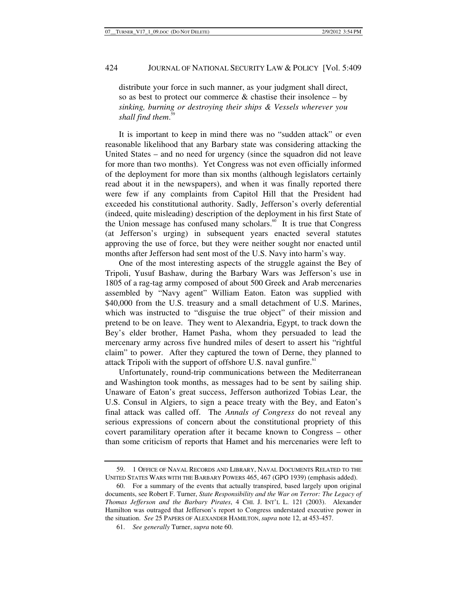distribute your force in such manner, as your judgment shall direct, so as best to protect our commerce  $\&$  chastise their insolence – by *sinking, burning or destroying their ships & Vessels wherever you shall find them*. 59

It is important to keep in mind there was no "sudden attack" or even reasonable likelihood that any Barbary state was considering attacking the United States – and no need for urgency (since the squadron did not leave for more than two months). Yet Congress was not even officially informed of the deployment for more than six months (although legislators certainly read about it in the newspapers), and when it was finally reported there were few if any complaints from Capitol Hill that the President had exceeded his constitutional authority. Sadly, Jefferson's overly deferential (indeed, quite misleading) description of the deployment in his first State of the Union message has confused many scholars.<sup>60</sup> It is true that Congress (at Jefferson's urging) in subsequent years enacted several statutes approving the use of force, but they were neither sought nor enacted until months after Jefferson had sent most of the U.S. Navy into harm's way.

One of the most interesting aspects of the struggle against the Bey of Tripoli, Yusuf Bashaw, during the Barbary Wars was Jefferson's use in 1805 of a rag-tag army composed of about 500 Greek and Arab mercenaries assembled by "Navy agent" William Eaton. Eaton was supplied with \$40,000 from the U.S. treasury and a small detachment of U.S. Marines, which was instructed to "disguise the true object" of their mission and pretend to be on leave. They went to Alexandria, Egypt, to track down the Bey's elder brother, Hamet Pasha, whom they persuaded to lead the mercenary army across five hundred miles of desert to assert his "rightful claim" to power. After they captured the town of Derne, they planned to attack Tripoli with the support of offshore U.S. naval gunfire.<sup>61</sup>

Unfortunately, round-trip communications between the Mediterranean and Washington took months, as messages had to be sent by sailing ship. Unaware of Eaton's great success, Jefferson authorized Tobias Lear, the U.S. Consul in Algiers, to sign a peace treaty with the Bey, and Eaton's final attack was called off. The *Annals of Congress* do not reveal any serious expressions of concern about the constitutional propriety of this covert paramilitary operation after it became known to Congress – other than some criticism of reports that Hamet and his mercenaries were left to

 <sup>59. 1</sup> OFFICE OF NAVAL RECORDS AND LIBRARY, NAVAL DOCUMENTS RELATED TO THE UNITED STATES WARS WITH THE BARBARY POWERS 465, 467 (GPO 1939) (emphasis added).

 <sup>60.</sup> For a summary of the events that actually transpired, based largely upon original documents, see Robert F. Turner, *State Responsibility and the War on Terror: The Legacy of Thomas Jefferson and the Barbary Pirates*, 4 CHI. J. INT'L L. 121 (2003). Alexander Hamilton was outraged that Jefferson's report to Congress understated executive power in the situation. *See* 25 PAPERS OF ALEXANDER HAMILTON, *supra* note 12, at 453-457.

<sup>61.</sup> *See generally* Turner, *supra* note 60.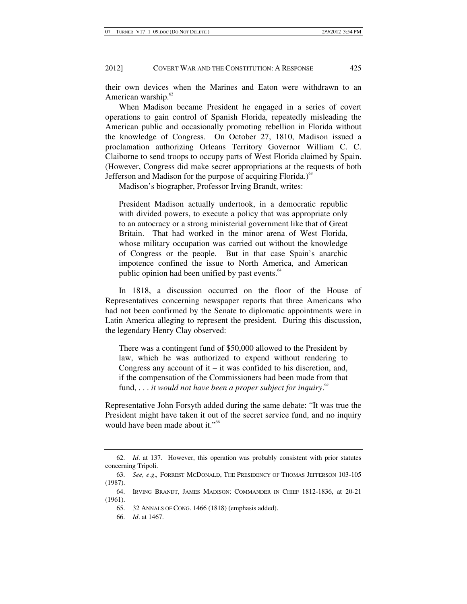their own devices when the Marines and Eaton were withdrawn to an American warship.<sup>62</sup>

When Madison became President he engaged in a series of covert operations to gain control of Spanish Florida, repeatedly misleading the American public and occasionally promoting rebellion in Florida without the knowledge of Congress. On October 27, 1810, Madison issued a proclamation authorizing Orleans Territory Governor William C. C. Claiborne to send troops to occupy parts of West Florida claimed by Spain. (However, Congress did make secret appropriations at the requests of both Jefferson and Madison for the purpose of acquiring Florida.) $63$ 

Madison's biographer, Professor Irving Brandt, writes:

President Madison actually undertook, in a democratic republic with divided powers, to execute a policy that was appropriate only to an autocracy or a strong ministerial government like that of Great Britain. That had worked in the minor arena of West Florida, whose military occupation was carried out without the knowledge of Congress or the people. But in that case Spain's anarchic impotence confined the issue to North America, and American public opinion had been unified by past events.<sup>64</sup>

In 1818, a discussion occurred on the floor of the House of Representatives concerning newspaper reports that three Americans who had not been confirmed by the Senate to diplomatic appointments were in Latin America alleging to represent the president. During this discussion, the legendary Henry Clay observed:

There was a contingent fund of \$50,000 allowed to the President by law, which he was authorized to expend without rendering to Congress any account of  $it - it$  was confided to his discretion, and, if the compensation of the Commissioners had been made from that fund, . . . *it would not have been a proper subject for inquiry*. 65

Representative John Forsyth added during the same debate: "It was true the President might have taken it out of the secret service fund, and no inquiry would have been made about it."<sup>66</sup>

<sup>62.</sup> *Id*. at 137. However, this operation was probably consistent with prior statutes concerning Tripoli.

<sup>63.</sup> *See, e*.*g*.*,* FORREST MCDONALD, THE PRESIDENCY OF THOMAS JEFFERSON 103-105 (1987).

 <sup>64.</sup> IRVING BRANDT, JAMES MADISON: COMMANDER IN CHIEF 1812-1836, at 20-21 (1961).

 <sup>65. 32</sup> ANNALS OF CONG. 1466 (1818) (emphasis added).

<sup>66.</sup> *Id*. at 1467.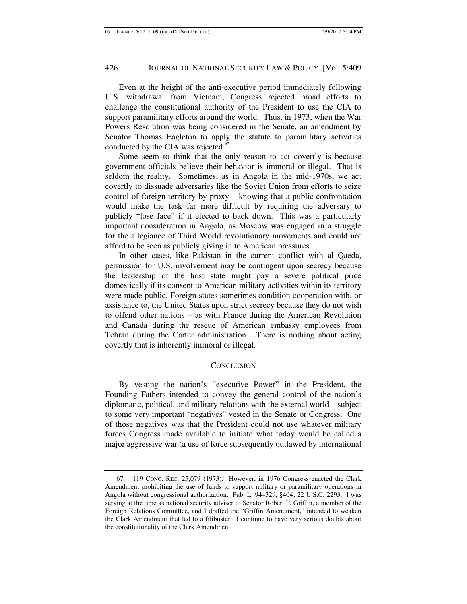Even at the height of the anti-executive period immediately following U.S. withdrawal from Vietnam, Congress rejected broad efforts to challenge the constitutional authority of the President to use the CIA to support paramilitary efforts around the world. Thus, in 1973, when the War Powers Resolution was being considered in the Senate, an amendment by Senator Thomas Eagleton to apply the statute to paramilitary activities conducted by the CIA was rejected.<sup>67</sup>

Some seem to think that the only reason to act covertly is because government officials believe their behavior is immoral or illegal. That is seldom the reality. Sometimes, as in Angola in the mid-1970s, we act covertly to dissuade adversaries like the Soviet Union from efforts to seize control of foreign territory by proxy – knowing that a public confrontation would make the task far more difficult by requiring the adversary to publicly "lose face" if it elected to back down. This was a particularly important consideration in Angola, as Moscow was engaged in a struggle for the allegiance of Third World revolutionary movements and could not afford to be seen as publicly giving in to American pressures.

In other cases, like Pakistan in the current conflict with al Qaeda, permission for U.S. involvement may be contingent upon secrecy because the leadership of the host state might pay a severe political price domestically if its consent to American military activities within its territory were made public. Foreign states sometimes condition cooperation with, or assistance to, the United States upon strict secrecy because they do not wish to offend other nations – as with France during the American Revolution and Canada during the rescue of American embassy employees from Tehran during the Carter administration. There is nothing about acting covertly that is inherently immoral or illegal.

#### **CONCLUSION**

By vesting the nation's "executive Power" in the President, the Founding Fathers intended to convey the general control of the nation's diplomatic, political, and military relations with the external world – subject to some very important "negatives" vested in the Senate or Congress. One of those negatives was that the President could not use whatever military forces Congress made available to initiate what today would be called a major aggressive war (a use of force subsequently outlawed by international

 <sup>67. 119</sup> CONG. REC. 25,079 (1973). However, in 1976 Congress enacted the Clark Amendment prohibiting the use of funds to support military or paramilitary operations in Angola without congressional authorization. Pub. L. 94–329, §404; 22 U.S.C. 2293. I was serving at the time as national security adviser to Senator Robert P. Griffin, a member of the Foreign Relations Committee, and I drafted the "Griffin Amendment," intended to weaken the Clark Amendment that led to a filibuster. I continue to have very serious doubts about the constitutionality of the Clark Amendment.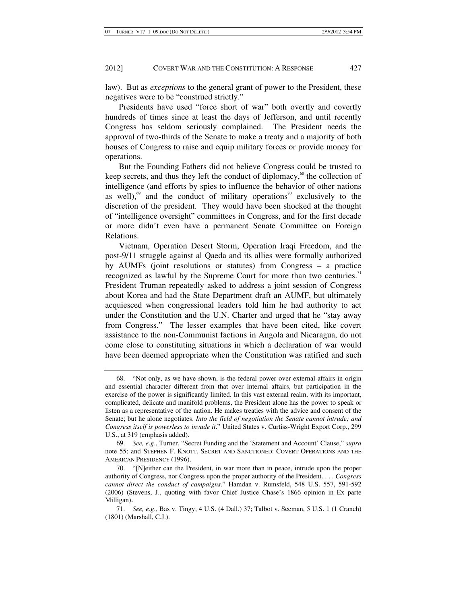law). But as *exceptions* to the general grant of power to the President, these negatives were to be "construed strictly."

Presidents have used "force short of war" both overtly and covertly hundreds of times since at least the days of Jefferson, and until recently Congress has seldom seriously complained. The President needs the approval of two-thirds of the Senate to make a treaty and a majority of both houses of Congress to raise and equip military forces or provide money for operations.

But the Founding Fathers did not believe Congress could be trusted to keep secrets, and thus they left the conduct of diplomacy,<sup>68</sup> the collection of intelligence (and efforts by spies to influence the behavior of other nations as well),<sup>69</sup> and the conduct of military operations<sup>70</sup> exclusively to the discretion of the president. They would have been shocked at the thought of "intelligence oversight" committees in Congress, and for the first decade or more didn't even have a permanent Senate Committee on Foreign Relations.

Vietnam, Operation Desert Storm, Operation Iraqi Freedom, and the post-9/11 struggle against al Qaeda and its allies were formally authorized by AUMFs (joint resolutions or statutes) from Congress – a practice recognized as lawful by the Supreme Court for more than two centuries.<sup>71</sup> President Truman repeatedly asked to address a joint session of Congress about Korea and had the State Department draft an AUMF, but ultimately acquiesced when congressional leaders told him he had authority to act under the Constitution and the U.N. Charter and urged that he "stay away from Congress." The lesser examples that have been cited, like covert assistance to the non-Communist factions in Angola and Nicaragua, do not come close to constituting situations in which a declaration of war would have been deemed appropriate when the Constitution was ratified and such

 <sup>68. &</sup>quot;Not only, as we have shown, is the federal power over external affairs in origin and essential character different from that over internal affairs, but participation in the exercise of the power is significantly limited. In this vast external realm, with its important, complicated, delicate and manifold problems, the President alone has the power to speak or listen as a representative of the nation. He makes treaties with the advice and consent of the Senate; but he alone negotiates. *Into the field of negotiation the Senate cannot intrude; and Congress itself is powerless to invade it*." United States v. Curtiss-Wright Export Corp., 299 U.S., at 319 (emphasis added).

<sup>69.</sup> *See, e*.*g*., Turner, "Secret Funding and the 'Statement and Account' Clause," *supra* note 55; and STEPHEN F. KNOTT, SECRET AND SANCTIONED: COVERT OPERATIONS AND THE AMERICAN PRESIDENCY (1996).

 <sup>70. &</sup>quot;[N]either can the President, in war more than in peace, intrude upon the proper authority of Congress, nor Congress upon the proper authority of the President. . . . *Congress cannot direct the conduct of campaigns*." Hamdan v. Rumsfeld, 548 U.S. 557, 591-592 (2006) (Stevens, J., quoting with favor Chief Justice Chase's 1866 opinion in Ex parte Milligan).

<sup>71.</sup> *See, e*.*g*.*,* Bas v. Tingy, 4 U.S. (4 Dall.) 37; Talbot v. Seeman, 5 U.S. 1 (1 Cranch) (1801) (Marshall, C.J.).